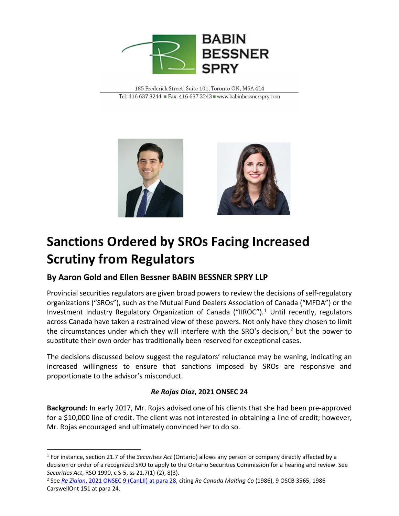

185 Frederick Street, Suite 101, Toronto ON, M5A 4L4 Tel: 416 637 3244 Fax: 416 637 3243 www.babinbessnerspry.com



# **Sanctions Ordered by SROs Facing Increased Scrutiny from Regulators**

## **By Aaron Gold and Ellen Bessner BABIN BESSNER SPRY LLP**

Provincial securities regulators are given broad powers to review the decisions of self-regulatory organizations ("SROs"), such as the Mutual Fund Dealers Association of Canada ("MFDA") or the Investment Industry Regulatory Organization of Canada ("IIROC").<sup>[1](#page-0-0)</sup> Until recently, regulators across Canada have taken a restrained view of these powers. Not only have they chosen to limit the circumstances under which they will interfere with the SRO's decision,<sup>[2](#page-0-1)</sup> but the power to substitute their own order has traditionally been reserved for exceptional cases.

The decisions discussed below suggest the regulators' reluctance may be waning, indicating an increased willingness to ensure that sanctions imposed by SROs are responsive and proportionate to the advisor's misconduct.

#### *Re Rojas Diaz***, 2021 ONSEC 24**

**Background:** In early 2017, Mr. Rojas advised one of his clients that she had been pre-approved for a \$10,000 line of credit. The client was not interested in obtaining a line of credit; however, Mr. Rojas encouraged and ultimately convinced her to do so.

<span id="page-0-0"></span><sup>1</sup> For instance, section 21.7 of the *Securities Act* (Ontario) allows any person or company directly affected by a decision or order of a recognized SRO to apply to the Ontario Securities Commission for a hearing and review. See *Securities Act*, RSO 1990, c S-5, ss 21.7(1)-(2), 8(3).

<span id="page-0-1"></span><sup>2</sup> See *Re Ziaian*[, 2021 ONSEC 9 \(CanLII\) at para 28,](https://www.canlii.org/en/on/onsec/doc/2021/2021onsec9/2021onsec9.html?autocompleteStr=2021%20ONSEC%209%20&autocompletePos=1) citing *Re Canada Malting Co* (1986), 9 OSCB 3565, 1986 CarswellOnt 151 at para 24.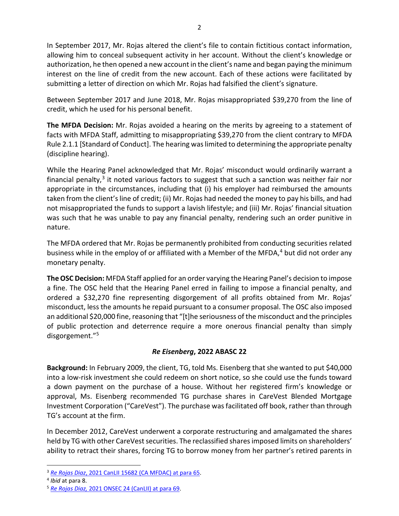In September 2017, Mr. Rojas altered the client's file to contain fictitious contact information, allowing him to conceal subsequent activity in her account. Without the client's knowledge or authorization, he then opened a new account in the client's name and began paying the minimum interest on the line of credit from the new account. Each of these actions were facilitated by submitting a letter of direction on which Mr. Rojas had falsified the client's signature.

Between September 2017 and June 2018, Mr. Rojas misappropriated \$39,270 from the line of credit, which he used for his personal benefit.

**The MFDA Decision:** Mr. Rojas avoided a hearing on the merits by agreeing to a statement of facts with MFDA Staff, admitting to misappropriating \$39,270 from the client contrary to MFDA Rule 2.1.1 [Standard of Conduct]. The hearing was limited to determining the appropriate penalty (discipline hearing).

While the Hearing Panel acknowledged that Mr. Rojas' misconduct would ordinarily warrant a financial penalty, $3$  it noted various factors to suggest that such a sanction was neither fair nor appropriate in the circumstances, including that (i) his employer had reimbursed the amounts taken from the client's line of credit; (ii) Mr. Rojas had needed the money to pay his bills, and had not misappropriated the funds to support a lavish lifestyle; and (iii) Mr. Rojas' financial situation was such that he was unable to pay any financial penalty, rendering such an order punitive in nature.

The MFDA ordered that Mr. Rojas be permanently prohibited from conducting securities related business while in the employ of or affiliated with a Member of the MFDA,<sup>[4](#page-1-1)</sup> but did not order any monetary penalty.

**The OSC Decision:** MFDA Staff applied for an order varying the Hearing Panel's decision to impose a fine. The OSC held that the Hearing Panel erred in failing to impose a financial penalty, and ordered a \$32,270 fine representing disgorgement of all profits obtained from Mr. Rojas' misconduct, less the amounts he repaid pursuant to a consumer proposal. The OSC also imposed an additional \$20,000 fine, reasoning that "[t]he seriousness of the misconduct and the principles of public protection and deterrence require a more onerous financial penalty than simply disgorgement."[5](#page-1-2)

### *Re Eisenberg***, 2022 ABASC 22**

**Background:** In February 2009, the client, TG, told Ms. Eisenberg that she wanted to put \$40,000 into a low-risk investment she could redeem on short notice, so she could use the funds toward a down payment on the purchase of a house. Without her registered firm's knowledge or approval, Ms. Eisenberg recommended TG purchase shares in CareVest Blended Mortgage Investment Corporation ("CareVest"). The purchase was facilitated off book, rather than through TG's account at the firm.

In December 2012, CareVest underwent a corporate restructuring and amalgamated the shares held by TG with other CareVest securities. The reclassified shares imposed limits on shareholders' ability to retract their shares, forcing TG to borrow money from her partner's retired parents in

<span id="page-1-0"></span><sup>3</sup> *Re Rojas Diaz*[, 2021 CanLII 15682 \(CA MFDAC\) at para 65.](https://www.canlii.org/en/ca/camfda/doc/2021/2021canlii15682/2021canlii15682.html?autocompleteStr=2021%20CanLII%2015682%20&autocompletePos=1)

<span id="page-1-1"></span><sup>4</sup> *Ibid* at para 8.

<span id="page-1-2"></span><sup>5</sup> *Re Rojas Diaz,* [2021 ONSEC 24 \(CanLII\) at para 69.](https://www.canlii.org/en/on/onsec/doc/2021/2021onsec24/2021onsec24.html?autocompleteStr=2021%20ONSEC%2024%20&autocompletePos=1)